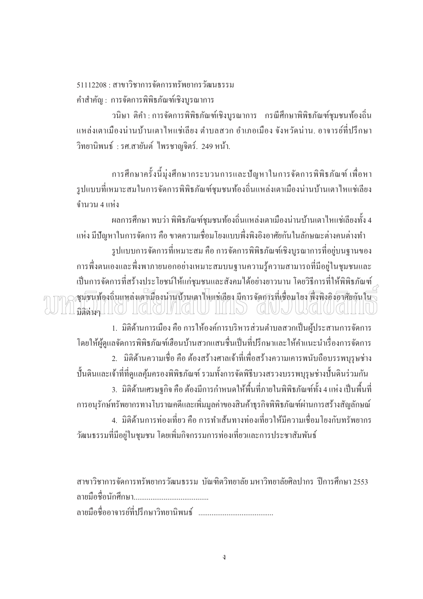$51112208 \cdot \pi$ าขาวิชาการจัดการทรัพยากรวัฒนธรรม ้คำสำคัญ : การจัดการพิพิธภัณฑ์เชิงบูรณาการ

้วนิษา ติคำ : การจัดการพิพิธภัณฑ์เชิงบูรณาการ กรณีศึกษาพิพิธภัณฑ์ชุมชนท้องถิ่น ้แหล่งเตาเมืองน่านบ้านเตาใหแช่เลี้ยง ตำบลสวก อำเภอเมือง จังหวัดน่าน. อาจารย์ที่ปรึกษา วิทยานิพนธ์ : รศ.สายันต์ ใพรชาญจิตร์. 249 หน้า.

ึ การศึกษาครั้งนี้มุ่งศึกษากระบวนการและปัญหาในการจัดการพิพิธภัณฑ์ เพื่อหา ้รูปแบบที่เหมาะสมในการจัดการพิพิธภัณฑ์ชุมชนท้องถิ่นแหล่งเตาเมืองน่านบ้านเตาใหแช่เลียง ้จำนวน 4 แห่ง

ี ผลการศึกษา พบว่า พิพิธภัณฑ์ชุมชนท้องถิ่นแหล่งเตาเมืองน่านบ้านเตาไหแช่เลียงทั้ง 4 แห่ง มีปัญหาในการจัดการ คือ ขาดความเชื่อมโยงแบบพึ่งพิงอิงอาศัยกันในลักษณะต่างคนต่างทำ รูปแบบการจัดการที่เหมาะสม คือ การจัดการพิพิธภัณฑ์เชิงบูรณาการที่อยู่บนฐานของ ึการพึ่งตนเองและพึ่งพาภายนอกอย่างเหมาะสมบนฐานความรู้ความสามารถที่มีอยู่ในชุมชนและ เป็นการจัดการที่สร้างประโยชน์ให้แก่ชุมชนและสังคมได้อย่างยาวนาน โดยวิธีการที่ให้พิพิธภัณฑ์ างมันท้องถิ่นแหล่งเตาเมืองน้ำนบ้านเตาให่แช่เลี้ยง มีการจัดการที่เชื่อมโยง พึ่งพิ่งอิงอาศัยกันใน มิติต่างๆ | | ( (

1. มิติด้านการเมือง คือ การให้องค์การบริหารส่วนตำบลสวกเป็นผู้ประสานการจัดการ โดยให้ผู้ดูแลจัดการพิพิธภัณฑ์เฮื้อนบ้านสวกแสนชื่นเป็นที่ปรึกษาและให้คำแนะนำเรื่องการจัดการ 2. มิติด้านความเชื่อ คือ ต้องสร้างศาลเจ้าที่เพื่อสร้างความเคารพนับถือบรรพบุรุษช่าง บั้นดินและเจ้าที่ที่ดูแลคุ้มครองพิพิธภัณฑ์ รวมทั้งการจัดพิธีบวงสรวงบรรพบุรุษช่างปั้นดินร่วมกัน 3. มิติด้านเศรษฐกิจ คือ ต้องมีการกำหนดให้พื้นที่ภายในพิพิธภัณฑ์ทั้ง 4 แห่ง เป็นพื้นที่ ้การอนรักษ์ทรัพยากรทางโบราณคดีและเพิ่มมลค่าของสินค้าธรกิจพิพิธภัณฑ์ผ่านการสร้างสัญลักษณ์ 4. มิติด้านการท่องเที่ยว คือ การทำเส้นทางท่องเที่ยวให้มีความเชื่อมโยงกับทรัพยากร ้วัฒนธรรมที่มีอยู่ในชุมชน โดยเพิ่มกิจกรรมการท่องเที่ยวและการประชาสัมพันธ์

ี่ สาขาวิชาการจัดการทรัพยากรวัฒนธรรม บัณฑิตวิทยาลัย มหาวิทยาลัยศิลปากร ปีการศึกษา 2553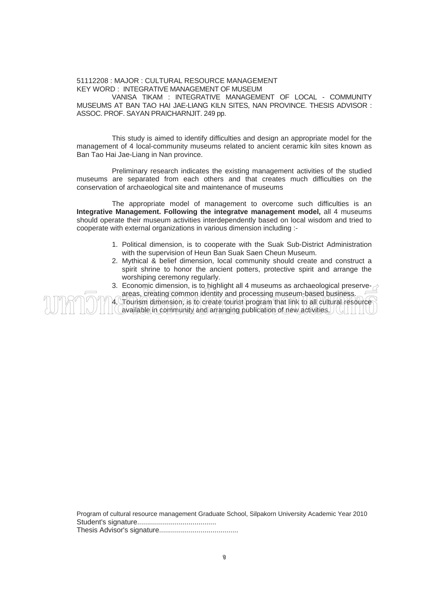## 51112208 : MAJOR : CULTURAL RESOURCE MANAGEMENT KEY WORD : INTEGRATIVE MANAGEMENT OF MUSEUM VANISA TIKAM : INTEGRATIVE MANAGEMENT OF LOCAL - COMMUNITY MUSEUMS AT BAN TAO HAI JAE-LIANG KILN SITES, NAN PROVINCE. THESIS ADVISOR : ASSOC. PROF. SAYAN PRAICHARNJIT. 249 pp.

This study is aimed to identify difficulties and design an appropriate model for the management of 4 local-community museums related to ancient ceramic kiln sites known as Ban Tao Hai Jae-Liang in Nan province.

Preliminary research indicates the existing management activities of the studied museums are separated from each others and that creates much difficulties on the conservation of archaeological site and maintenance of museums

The appropriate model of management to overcome such difficulties is an **Integrative Management. Following the integratve management model,** all 4 museums should operate their museum activities interdependently based on local wisdom and tried to cooperate with external organizations in various dimension including :-

- 1. Political dimension, is to cooperate with the Suak Sub-District Administration with the supervision of Heun Ban Suak Saen Cheun Museum.
- 2. Mythical & belief dimension, local community should create and construct a spirit shrine to honor the ancient potters, protective spirit and arrange the worshiping ceremony regularly.
- 3. Economic dimension, is to highlight all 4 museums as archaeological preserve- $\geq$ areas, creating common identity and processing museum-based business.
- 4. Tourism dimension, is to create tourist program that link to all cultural resource available in community and arranging publication of new activities.  $\frac{1}{2}$

Program of cultural resource management Graduate School, Silpakorn University Academic Year 2010 Student's signature........................................ Thesis Advisor's signature........................................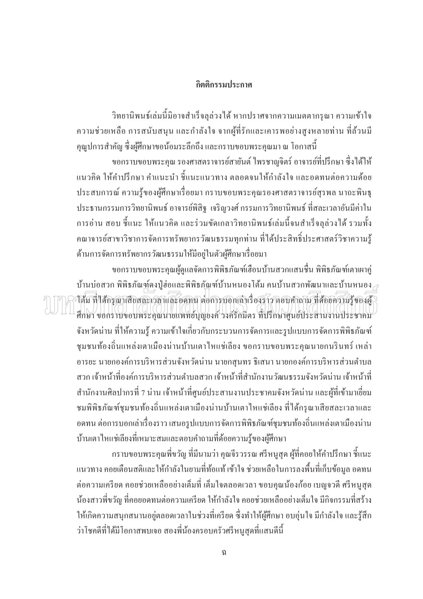## กิตติกรรมประกาศ

้วิทยานิพนธ์เล่มนี้มิอาจสำเร็จลุล่วงใด้ หากปราศจากความเมตตากรุณา ความเข้าใจ ้ความช่วยเหลือ การสนับสนุน และกำลังใจ จากผู้ที่รักและเคารพอย่างสูงหลายท่าน ที่ล้วนมี ้คุณูปการสำคัญ ซึ่งผู้ศึกษาขอน้อมระลึกถึง และกราบขอบพระคุณมา ณ โอกาสนี้

ขอกราบขอบพระคุณ รองศาสตราจารย์สายันต์ ใพรชาญจิตร์ อาจารย์ที่ปรึกษา ซึ่งได้ให้ ี แนวคิด ให้คำปรึกษา คำแนะนำ ชี้แนะแนวทาง ตลอดจนให้กำลังใจ และอดทนต่อความด้อย ี ประสบการณ์ ความรู้ของผู้ศึกษาเรื่อยมา กราบขอบพระคุณรองศาสตราจารย์สุรพล นาถะพินธุ ประธานกรรมการวิทยานิพนธ์ อาจารย์พิสิฐ เจริญวงศ์ กรรมการวิทยานิพนธ์ ที่สละเวลาอันมีค่าใน ึการอ่าน สอบ ขึ้แนะ ให้แนวคิด และร่วมขัดเกลาวิทยานิพนธ์เล่มนี้จนสำเร็จลุล่วงได้ รวมทั้ง ้คณาจารย์สาขาวิชาการจัดการทรัพยากรวัฒนธรรมทกท่าน ที่ได้ประสิทธิ์ประศาสตร์วิชาความร้ ด้านการจัดการทรัพยากรวัฒนธรรมให้มีอย่ในตัวผู้ศึกษาเรื่อยมา

ี ขอกราบขอบพระคณผ้ดแลจัดการพิพิธภัณฑ์เฮื้อนบ้านสวกแสนชื่น พิพิธภัณฑ์เตาเผาค่ บ้านบ่อสวก พิพิธภัณฑ์คงปู่ฮ่อและพิพิธภัณฑ์บ้านหนองโต้ม คนบ้านสวกพัฒนาและบ้านหนอง $\geq$ าส้ม ที่ใส่กรุณาเสียสละเวลาและออกน ต่อการบอกเล่าเรื่องราว ตอบคำถาม ที่สอยความรู้ของผู้ ศึกษา ขอกราบขอบพระคุณนายแพทย์บุญยงค์ วงค์รักมีตร ที่ปรึกษาศูนย์ประสานงานประชาคม ้จังหวัดน่าน ที่ให้ความรู้ ความเข้าใจเกี่ยวกับกระบวนการจัดการและรูปแบบการจัดการพิพิธภัณฑ์ ี่ ชุมชนท้องถิ่นแหล่งเตาเมืองน่านบ้านเตาใหแช่เลียง ขอกราบขอบพระคุณนายกนรินทร์ เหล่า ้อารยะ นายกองค์การบริหารส่วนจังหวัดน่าน นายกสนทร ธิเสนา นายกองค์การบริหารส่วนตำบล ี่ สวก เจ้าหน้าที่องค์การบริหารส่วนตำบลสวก เจ้าหน้าที่สำนักงานวัฒนธรรมจังหวัดน่าน เจ้าหน้าที่ ี สำนักงานศิลปากรที่ 7 น่าน เจ้าหน้าที่ศูนย์ประสานงานประชาคมจังหวัดน่าน และผู้ที่เข้ามาเยี่ยม ึชมพิพิธภัณฑ์ชุมชนท้องถิ่นแหล่งเตาเมืองน่านบ้านเตาใหแช่เลียง ที่ได้กรุณาเสียสละเวลาและ ้อดทน ต่อการบอกเล่าเรื่องราว เสนอรูปแบบการจัดการพิพิธภัณฑ์ชุมชนท้องถิ่นแหล่งเตาเมืองน่าน บ้านเตาใหแช่เลียงที่เหมาะสมและตอบคำถามที่ด้อยความรู้ของผู้ศึกษา

้กราบขอบพระคุณพี่ขวัญ ที่มีนามว่า คุณจีรวรรณ ศรีหนูสุด ผู้ที่คอยให้คำปรึกษา ชี้แนะ ์ แนวทาง คอยเตือนสติและให้กำลังในยามที่ท้อแท้ เข้าใจ ช่วยเหลือในการลงพื้นที่เก็บข้อมูล อดทน ้ต่อความเครียด คอยช่วยเหลืออย่างเต็มที่ เต็มใจตลอดเวลา ขอบคุณน้องก้อย เบญจวดี ศรีหนูสุด น้องสาวพี่ขวัญ ที่คอยอดทนต่อความเครียด ให้กำลังใจ คอยช่วยเหลืออย่างเต็มใจ มีกิจกรรมที่สร้าง ให้เกิดความสนุกสนานอยู่ตลอดเวลาในช่วงที่เครียด ซึ่งทำให้ผู้ศึกษา อบอุ่นใจ มีกำลังใจ และรู้สึก ว่าโชคดีที่ได้มีโอกาสพบเจอ สองพี่น้องครอบครัวศรีหนูสุดที่แสนดีนี้